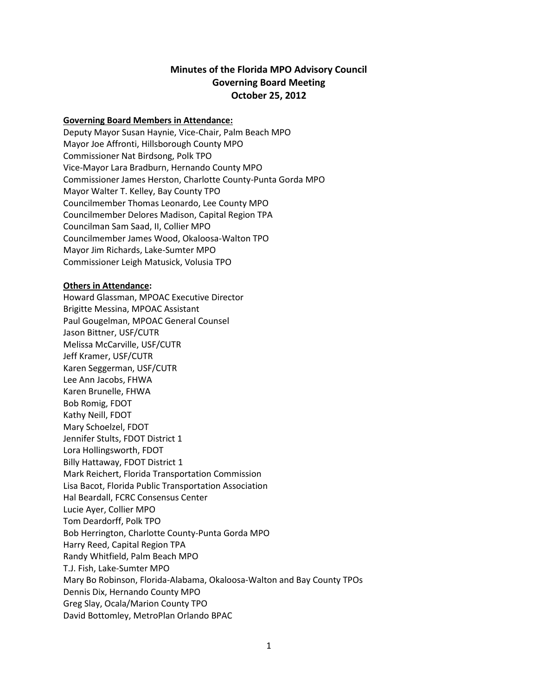## **Minutes of the Florida MPO Advisory Council Governing Board Meeting October 25, 2012**

#### **Governing Board Members in Attendance:**

Deputy Mayor Susan Haynie, Vice-Chair, Palm Beach MPO Mayor Joe Affronti, Hillsborough County MPO Commissioner Nat Birdsong, Polk TPO Vice-Mayor Lara Bradburn, Hernando County MPO Commissioner James Herston, Charlotte County-Punta Gorda MPO Mayor Walter T. Kelley, Bay County TPO Councilmember Thomas Leonardo, Lee County MPO Councilmember Delores Madison, Capital Region TPA Councilman Sam Saad, II, Collier MPO Councilmember James Wood, Okaloosa-Walton TPO Mayor Jim Richards, Lake-Sumter MPO Commissioner Leigh Matusick, Volusia TPO

#### **Others in Attendance:**

Howard Glassman, MPOAC Executive Director Brigitte Messina, MPOAC Assistant Paul Gougelman, MPOAC General Counsel Jason Bittner, USF/CUTR Melissa McCarville, USF/CUTR Jeff Kramer, USF/CUTR Karen Seggerman, USF/CUTR Lee Ann Jacobs, FHWA Karen Brunelle, FHWA Bob Romig, FDOT Kathy Neill, FDOT Mary Schoelzel, FDOT Jennifer Stults, FDOT District 1 Lora Hollingsworth, FDOT Billy Hattaway, FDOT District 1 Mark Reichert, Florida Transportation Commission Lisa Bacot, Florida Public Transportation Association Hal Beardall, FCRC Consensus Center Lucie Ayer, Collier MPO Tom Deardorff, Polk TPO Bob Herrington, Charlotte County-Punta Gorda MPO Harry Reed, Capital Region TPA Randy Whitfield, Palm Beach MPO T.J. Fish, Lake-Sumter MPO Mary Bo Robinson, Florida-Alabama, Okaloosa-Walton and Bay County TPOs Dennis Dix, Hernando County MPO Greg Slay, Ocala/Marion County TPO David Bottomley, MetroPlan Orlando BPAC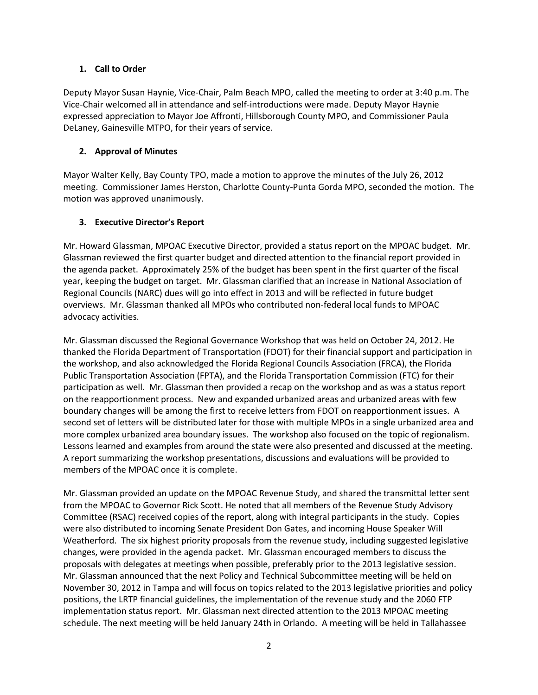#### **1. Call to Order**

Deputy Mayor Susan Haynie, Vice-Chair, Palm Beach MPO, called the meeting to order at 3:40 p.m. The Vice-Chair welcomed all in attendance and self-introductions were made. Deputy Mayor Haynie expressed appreciation to Mayor Joe Affronti, Hillsborough County MPO, and Commissioner Paula DeLaney, Gainesville MTPO, for their years of service.

## **2. Approval of Minutes**

Mayor Walter Kelly, Bay County TPO, made a motion to approve the minutes of the July 26, 2012 meeting. Commissioner James Herston, Charlotte County-Punta Gorda MPO, seconded the motion. The motion was approved unanimously.

### **3. Executive Director's Report**

Mr. Howard Glassman, MPOAC Executive Director, provided a status report on the MPOAC budget. Mr. Glassman reviewed the first quarter budget and directed attention to the financial report provided in the agenda packet. Approximately 25% of the budget has been spent in the first quarter of the fiscal year, keeping the budget on target. Mr. Glassman clarified that an increase in National Association of Regional Councils (NARC) dues will go into effect in 2013 and will be reflected in future budget overviews. Mr. Glassman thanked all MPOs who contributed non-federal local funds to MPOAC advocacy activities.

Mr. Glassman discussed the Regional Governance Workshop that was held on October 24, 2012. He thanked the Florida Department of Transportation (FDOT) for their financial support and participation in the workshop, and also acknowledged the Florida Regional Councils Association (FRCA), the Florida Public Transportation Association (FPTA), and the Florida Transportation Commission (FTC) for their participation as well. Mr. Glassman then provided a recap on the workshop and as was a status report on the reapportionment process. New and expanded urbanized areas and urbanized areas with few boundary changes will be among the first to receive letters from FDOT on reapportionment issues. A second set of letters will be distributed later for those with multiple MPOs in a single urbanized area and more complex urbanized area boundary issues. The workshop also focused on the topic of regionalism. Lessons learned and examples from around the state were also presented and discussed at the meeting. A report summarizing the workshop presentations, discussions and evaluations will be provided to members of the MPOAC once it is complete.

Mr. Glassman provided an update on the MPOAC Revenue Study, and shared the transmittal letter sent from the MPOAC to Governor Rick Scott. He noted that all members of the Revenue Study Advisory Committee (RSAC) received copies of the report, along with integral participants in the study. Copies were also distributed to incoming Senate President Don Gates, and incoming House Speaker Will Weatherford. The six highest priority proposals from the revenue study, including suggested legislative changes, were provided in the agenda packet. Mr. Glassman encouraged members to discuss the proposals with delegates at meetings when possible, preferably prior to the 2013 legislative session. Mr. Glassman announced that the next Policy and Technical Subcommittee meeting will be held on November 30, 2012 in Tampa and will focus on topics related to the 2013 legislative priorities and policy positions, the LRTP financial guidelines, the implementation of the revenue study and the 2060 FTP implementation status report. Mr. Glassman next directed attention to the 2013 MPOAC meeting schedule. The next meeting will be held January 24th in Orlando. A meeting will be held in Tallahassee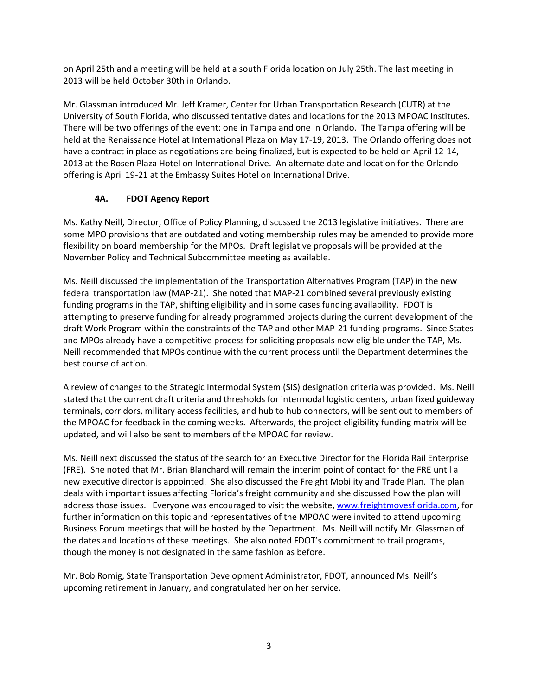on April 25th and a meeting will be held at a south Florida location on July 25th. The last meeting in 2013 will be held October 30th in Orlando.

Mr. Glassman introduced Mr. Jeff Kramer, Center for Urban Transportation Research (CUTR) at the University of South Florida, who discussed tentative dates and locations for the 2013 MPOAC Institutes. There will be two offerings of the event: one in Tampa and one in Orlando. The Tampa offering will be held at the Renaissance Hotel at International Plaza on May 17-19, 2013. The Orlando offering does not have a contract in place as negotiations are being finalized, but is expected to be held on April 12-14, 2013 at the Rosen Plaza Hotel on International Drive. An alternate date and location for the Orlando offering is April 19-21 at the Embassy Suites Hotel on International Drive.

## **4A. FDOT Agency Report**

Ms. Kathy Neill, Director, Office of Policy Planning, discussed the 2013 legislative initiatives. There are some MPO provisions that are outdated and voting membership rules may be amended to provide more flexibility on board membership for the MPOs. Draft legislative proposals will be provided at the November Policy and Technical Subcommittee meeting as available.

Ms. Neill discussed the implementation of the Transportation Alternatives Program (TAP) in the new federal transportation law (MAP-21). She noted that MAP-21 combined several previously existing funding programs in the TAP, shifting eligibility and in some cases funding availability. FDOT is attempting to preserve funding for already programmed projects during the current development of the draft Work Program within the constraints of the TAP and other MAP-21 funding programs. Since States and MPOs already have a competitive process for soliciting proposals now eligible under the TAP, Ms. Neill recommended that MPOs continue with the current process until the Department determines the best course of action.

A review of changes to the Strategic Intermodal System (SIS) designation criteria was provided. Ms. Neill stated that the current draft criteria and thresholds for intermodal logistic centers, urban fixed guideway terminals, corridors, military access facilities, and hub to hub connectors, will be sent out to members of the MPOAC for feedback in the coming weeks. Afterwards, the project eligibility funding matrix will be updated, and will also be sent to members of the MPOAC for review.

Ms. Neill next discussed the status of the search for an Executive Director for the Florida Rail Enterprise (FRE). She noted that Mr. Brian Blanchard will remain the interim point of contact for the FRE until a new executive director is appointed. She also discussed the Freight Mobility and Trade Plan. The plan deals with important issues affecting Florida's freight community and she discussed how the plan will address those issues. Everyone was encouraged to visit the website[, www.freightmovesflorida.com,](http://www.freightmovesflorida.com/) for further information on this topic and representatives of the MPOAC were invited to attend upcoming Business Forum meetings that will be hosted by the Department. Ms. Neill will notify Mr. Glassman of the dates and locations of these meetings. She also noted FDOT's commitment to trail programs, though the money is not designated in the same fashion as before.

Mr. Bob Romig, State Transportation Development Administrator, FDOT, announced Ms. Neill's upcoming retirement in January, and congratulated her on her service.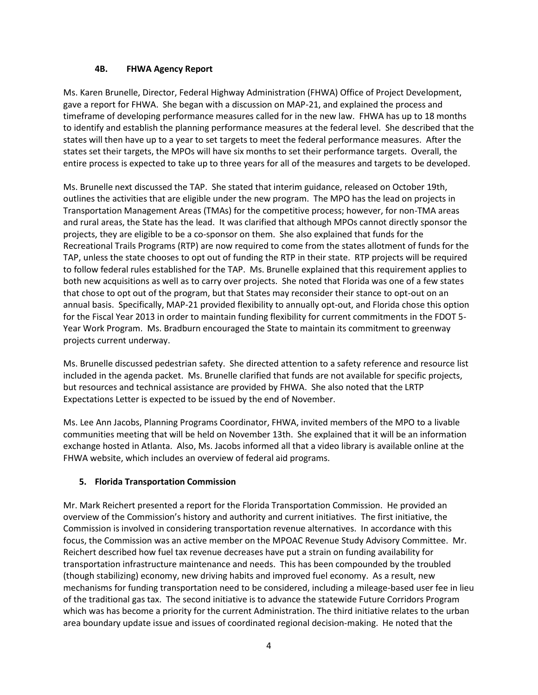#### **4B. FHWA Agency Report**

Ms. Karen Brunelle, Director, Federal Highway Administration (FHWA) Office of Project Development, gave a report for FHWA. She began with a discussion on MAP-21, and explained the process and timeframe of developing performance measures called for in the new law. FHWA has up to 18 months to identify and establish the planning performance measures at the federal level. She described that the states will then have up to a year to set targets to meet the federal performance measures. After the states set their targets, the MPOs will have six months to set their performance targets. Overall, the entire process is expected to take up to three years for all of the measures and targets to be developed.

Ms. Brunelle next discussed the TAP. She stated that interim guidance, released on October 19th, outlines the activities that are eligible under the new program. The MPO has the lead on projects in Transportation Management Areas (TMAs) for the competitive process; however, for non-TMA areas and rural areas, the State has the lead. It was clarified that although MPOs cannot directly sponsor the projects, they are eligible to be a co-sponsor on them. She also explained that funds for the Recreational Trails Programs (RTP) are now required to come from the states allotment of funds for the TAP, unless the state chooses to opt out of funding the RTP in their state. RTP projects will be required to follow federal rules established for the TAP. Ms. Brunelle explained that this requirement applies to both new acquisitions as well as to carry over projects. She noted that Florida was one of a few states that chose to opt out of the program, but that States may reconsider their stance to opt-out on an annual basis. Specifically, MAP-21 provided flexibility to annually opt-out, and Florida chose this option for the Fiscal Year 2013 in order to maintain funding flexibility for current commitments in the FDOT 5- Year Work Program. Ms. Bradburn encouraged the State to maintain its commitment to greenway projects current underway.

Ms. Brunelle discussed pedestrian safety. She directed attention to a safety reference and resource list included in the agenda packet. Ms. Brunelle clarified that funds are not available for specific projects, but resources and technical assistance are provided by FHWA. She also noted that the LRTP Expectations Letter is expected to be issued by the end of November.

Ms. Lee Ann Jacobs, Planning Programs Coordinator, FHWA, invited members of the MPO to a livable communities meeting that will be held on November 13th. She explained that it will be an information exchange hosted in Atlanta. Also, Ms. Jacobs informed all that a video library is available online at the FHWA website, which includes an overview of federal aid programs.

## **5. Florida Transportation Commission**

Mr. Mark Reichert presented a report for the Florida Transportation Commission. He provided an overview of the Commission's history and authority and current initiatives. The first initiative, the Commission is involved in considering transportation revenue alternatives. In accordance with this focus, the Commission was an active member on the MPOAC Revenue Study Advisory Committee. Mr. Reichert described how fuel tax revenue decreases have put a strain on funding availability for transportation infrastructure maintenance and needs. This has been compounded by the troubled (though stabilizing) economy, new driving habits and improved fuel economy. As a result, new mechanisms for funding transportation need to be considered, including a mileage-based user fee in lieu of the traditional gas tax. The second initiative is to advance the statewide Future Corridors Program which was has become a priority for the current Administration. The third initiative relates to the urban area boundary update issue and issues of coordinated regional decision-making. He noted that the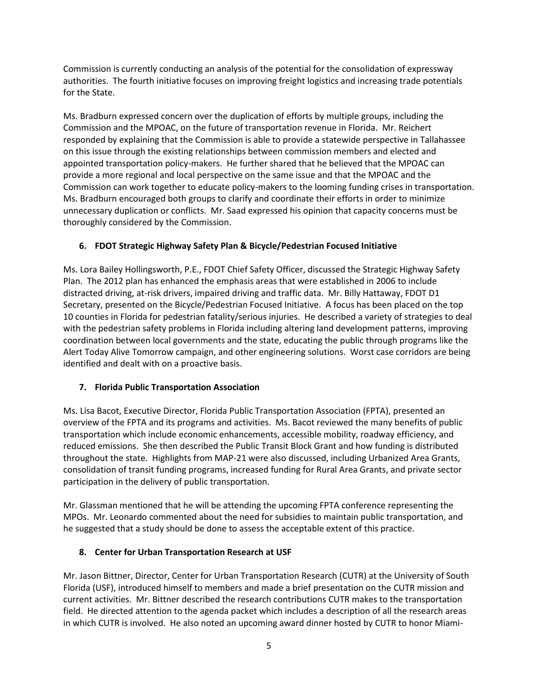Commission is currently conducting an analysis of the potential for the consolidation of expressway authorities. The fourth initiative focuses on improving freight logistics and increasing trade potentials for the State.

Ms. Bradburn expressed concern over the duplication of efforts by multiple groups, including the Commission and the MPOAC, on the future of transportation revenue in Florida. Mr. Reichert responded by explaining that the Commission is able to provide a statewide perspective in Tallahassee on this issue through the existing relationships between commission members and elected and appointed transportation policy-makers. He further shared that he believed that the MPOAC can provide a more regional and local perspective on the same issue and that the MPOAC and the Commission can work together to educate policy-makers to the looming funding crises in transportation. Ms. Bradburn encouraged both groups to clarify and coordinate their efforts in order to minimize unnecessary duplication or conflicts. Mr. Saad expressed his opinion that capacity concerns must be thoroughly considered by the Commission.

## **6. FDOT Strategic Highway Safety Plan & Bicycle/Pedestrian Focused Initiative**

Ms. Lora Bailey Hollingsworth, P.E., FDOT Chief Safety Officer, discussed the Strategic Highway Safety Plan. The 2012 plan has enhanced the emphasis areas that were established in 2006 to include distracted driving, at-risk drivers, impaired driving and traffic data. Mr. Billy Hattaway, FDOT D1 Secretary, presented on the Bicycle/Pedestrian Focused Initiative. A focus has been placed on the top 10 counties in Florida for pedestrian fatality/serious injuries. He described a variety of strategies to deal with the pedestrian safety problems in Florida including altering land development patterns, improving coordination between local governments and the state, educating the public through programs like the Alert Today Alive Tomorrow campaign, and other engineering solutions. Worst case corridors are being identified and dealt with on a proactive basis.

## **7. Florida Public Transportation Association**

Ms. Lisa Bacot, Executive Director, Florida Public Transportation Association (FPTA), presented an overview of the FPTA and its programs and activities. Ms. Bacot reviewed the many benefits of public transportation which include economic enhancements, accessible mobility, roadway efficiency, and reduced emissions. She then described the Public Transit Block Grant and how funding is distributed throughout the state. Highlights from MAP-21 were also discussed, including Urbanized Area Grants, consolidation of transit funding programs, increased funding for Rural Area Grants, and private sector participation in the delivery of public transportation.

Mr. Glassman mentioned that he will be attending the upcoming FPTA conference representing the MPOs. Mr. Leonardo commented about the need for subsidies to maintain public transportation, and he suggested that a study should be done to assess the acceptable extent of this practice.

# **8. Center for Urban Transportation Research at USF**

Mr. Jason Bittner, Director, Center for Urban Transportation Research (CUTR) at the University of South Florida (USF), introduced himself to members and made a brief presentation on the CUTR mission and current activities. Mr. Bittner described the research contributions CUTR makes to the transportation field. He directed attention to the agenda packet which includes a description of all the research areas in which CUTR is involved. He also noted an upcoming award dinner hosted by CUTR to honor Miami